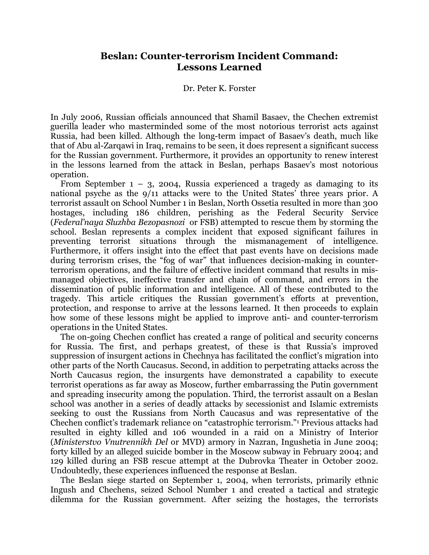## **Beslan: Counter-terrorism Incident Command: Lessons Learned**

## Dr. Peter K. Forster

In July 2006, Russian officials announced that Shamil Basaev, the Chechen extremist guerilla leader who masterminded some of the most notorious terrorist acts against Russia, had been killed. Although the long-term impact of Basaev's death, much like that of Abu al-Zarqawi in Iraq, remains to be seen, it does represent a significant success for the Russian government. Furthermore, it provides an opportunity to renew interest in the lessons learned from the attack in Beslan, perhaps Basaev's most notorious operation.

From September  $1 - 3$ , 2004, Russia experienced a tragedy as damaging to its national psyche as the 9/11 attacks were to the United States' three years prior. A terrorist assault on School Number 1 in Beslan, North Ossetia resulted in more than 300 hostages, including 186 children, perishing as the Federal Security Service (*Federal'naya Sluzhba Bezopasnozi* or FSB) attempted to rescue them by storming the school. Beslan represents a complex incident that exposed significant failures in preventing terrorist situations through the mismanagement of intelligence. Furthermore, it offers insight into the effect that past events have on decisions made during terrorism crises, the "fog of war" that influences decision-making in counterterrorism operations, and the failure of effective incident command that results in mismanaged objectives, ineffective transfer and chain of command, and errors in the dissemination of public information and intelligence. All of these contributed to the tragedy. This article critiques the Russian government's efforts at prevention, protection, and response to arrive at the lessons learned. It then proceeds to explain how some of these lessons might be applied to improve anti- and counter-terrorism operations in the United States.

The on-going Chechen conflict has created a range of political and security concerns for Russia. The first, and perhaps greatest, of these is that Russia's improved suppression of insurgent actions in Chechnya has facilitated the conflict's migration into other parts of the North Caucasus. Second, in addition to perpetrating attacks across the North Caucasus region, the insurgents have demonstrated a capability to execute terrorist operations as far away as Moscow, further embarrassing the Putin government and spreading insecurity among the population. Third, the terrorist assault on a Beslan school was another in a series of deadly attacks by secessionist and Islamic extremists seeking to oust the Russians from North Caucasus and was representative of the Chechen conflict's trademark reliance on "catastrophic terrorism."1 Previous attacks had resulted in eighty killed and 106 wounded in a raid on a Ministry of Interior (*Ministerstvo Vnutrennikh Del* or MVD) armory in Nazran, Ingushetia in June 2004; forty killed by an alleged suicide bomber in the Moscow subway in February 2004; and 129 killed during an FSB rescue attempt at the Dubrovka Theater in October 2002. Undoubtedly, these experiences influenced the response at Beslan.

The Beslan siege started on September 1, 2004, when terrorists, primarily ethnic Ingush and Chechens, seized School Number 1 and created a tactical and strategic dilemma for the Russian government. After seizing the hostages, the terrorists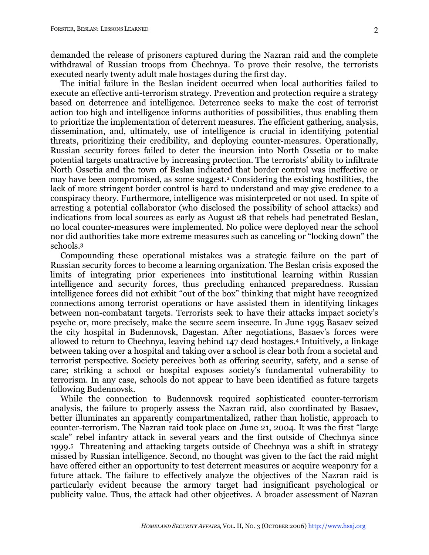demanded the release of prisoners captured during the Nazran raid and the complete withdrawal of Russian troops from Chechnya. To prove their resolve, the terrorists executed nearly twenty adult male hostages during the first day.

The initial failure in the Beslan incident occurred when local authorities failed to execute an effective anti-terrorism strategy. Prevention and protection require a strategy based on deterrence and intelligence. Deterrence seeks to make the cost of terrorist action too high and intelligence informs authorities of possibilities, thus enabling them to prioritize the implementation of deterrent measures. The efficient gathering, analysis, dissemination, and, ultimately, use of intelligence is crucial in identifying potential threats, prioritizing their credibility, and deploying counter-measures. Operationally, Russian security forces failed to deter the incursion into North Ossetia or to make potential targets unattractive by increasing protection. The terrorists' ability to infiltrate North Ossetia and the town of Beslan indicated that border control was ineffective or may have been compromised, as some suggest.2 Considering the existing hostilities, the lack of more stringent border control is hard to understand and may give credence to a conspiracy theory. Furthermore, intelligence was misinterpreted or not used. In spite of arresting a potential collaborator (who disclosed the possibility of school attacks) and indications from local sources as early as August 28 that rebels had penetrated Beslan, no local counter-measures were implemented. No police were deployed near the school nor did authorities take more extreme measures such as canceling or "locking down" the schools.3

Compounding these operational mistakes was a strategic failure on the part of Russian security forces to become a learning organization. The Beslan crisis exposed the limits of integrating prior experiences into institutional learning within Russian intelligence and security forces, thus precluding enhanced preparedness. Russian intelligence forces did not exhibit "out of the box" thinking that might have recognized connections among terrorist operations or have assisted them in identifying linkages between non-combatant targets. Terrorists seek to have their attacks impact society's psyche or, more precisely, make the secure seem insecure. In June 1995 Basaev seized the city hospital in Budennovsk, Dagestan. After negotiations, Basaev's forces were allowed to return to Chechnya, leaving behind 147 dead hostages.4 Intuitively, a linkage between taking over a hospital and taking over a school is clear both from a societal and terrorist perspective. Society perceives both as offering security, safety, and a sense of care; striking a school or hospital exposes society's fundamental vulnerability to terrorism. In any case, schools do not appear to have been identified as future targets following Budennovsk.

While the connection to Budennovsk required sophisticated counter-terrorism analysis, the failure to properly assess the Nazran raid, also coordinated by Basaev, better illuminates an apparently compartmentalized, rather than holistic, approach to counter-terrorism. The Nazran raid took place on June 21, 2004. It was the first "large scale" rebel infantry attack in several years and the first outside of Chechnya since 1999.5 Threatening and attacking targets outside of Chechnya was a shift in strategy missed by Russian intelligence. Second, no thought was given to the fact the raid might have offered either an opportunity to test deterrent measures or acquire weaponry for a future attack. The failure to effectively analyze the objectives of the Nazran raid is particularly evident because the armory target had insignificant psychological or publicity value. Thus, the attack had other objectives. A broader assessment of Nazran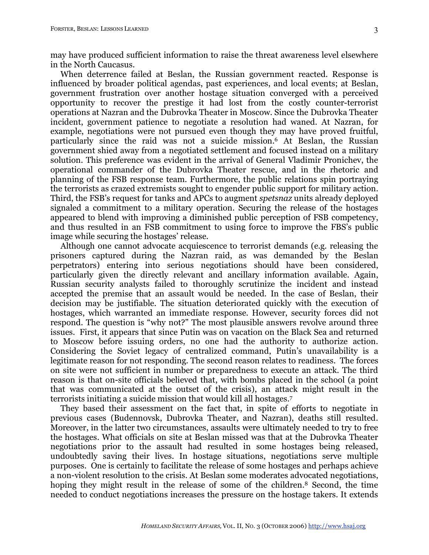may have produced sufficient information to raise the threat awareness level elsewhere in the North Caucasus.

When deterrence failed at Beslan, the Russian government reacted. Response is influenced by broader political agendas, past experiences, and local events; at Beslan, government frustration over another hostage situation converged with a perceived opportunity to recover the prestige it had lost from the costly counter-terrorist operations at Nazran and the Dubrovka Theater in Moscow. Since the Dubrovka Theater incident, government patience to negotiate a resolution had waned. At Nazran, for example, negotiations were not pursued even though they may have proved fruitful, particularly since the raid was not a suicide mission. <sup>6</sup> At Beslan, the Russian government shied away from a negotiated settlement and focused instead on a military solution. This preference was evident in the arrival of General Vladimir Pronichev, the operational commander of the Dubrovka Theater rescue, and in the rhetoric and planning of the FSB response team. Furthermore, the public relations spin portraying the terrorists as crazed extremists sought to engender public support for military action. Third, the FSB's request for tanks and APCs to augment *spetsnaz* units already deployed signaled a commitment to a military operation. Securing the release of the hostages appeared to blend with improving a diminished public perception of FSB competency, and thus resulted in an FSB commitment to using force to improve the FBS's public image while securing the hostages' release.

Although one cannot advocate acquiescence to terrorist demands (e.g. releasing the prisoners captured during the Nazran raid, as was demanded by the Beslan perpetrators) entering into serious negotiations should have been considered, particularly given the directly relevant and ancillary information available. Again, Russian security analysts failed to thoroughly scrutinize the incident and instead accepted the premise that an assault would be needed. In the case of Beslan, their decision may be justifiable. The situation deteriorated quickly with the execution of hostages, which warranted an immediate response. However, security forces did not respond. The question is "why not?" The most plausible answers revolve around three issues. First, it appears that since Putin was on vacation on the Black Sea and returned to Moscow before issuing orders, no one had the authority to authorize action. Considering the Soviet legacy of centralized command, Putin's unavailability is a legitimate reason for not responding. The second reason relates to readiness. The forces on site were not sufficient in number or preparedness to execute an attack. The third reason is that on-site officials believed that, with bombs placed in the school (a point that was communicated at the outset of the crisis), an attack might result in the terrorists initiating a suicide mission that would kill all hostages.7

They based their assessment on the fact that, in spite of efforts to negotiate in previous cases (Budennovsk, Dubrovka Theater, and Nazran), deaths still resulted. Moreover, in the latter two circumstances, assaults were ultimately needed to try to free the hostages. What officials on site at Beslan missed was that at the Dubrovka Theater negotiations prior to the assault had resulted in some hostages being released, undoubtedly saving their lives. In hostage situations, negotiations serve multiple purposes. One is certainly to facilitate the release of some hostages and perhaps achieve a non-violent resolution to the crisis. At Beslan some moderates advocated negotiations, hoping they might result in the release of some of the children.<sup>8</sup> Second, the time needed to conduct negotiations increases the pressure on the hostage takers. It extends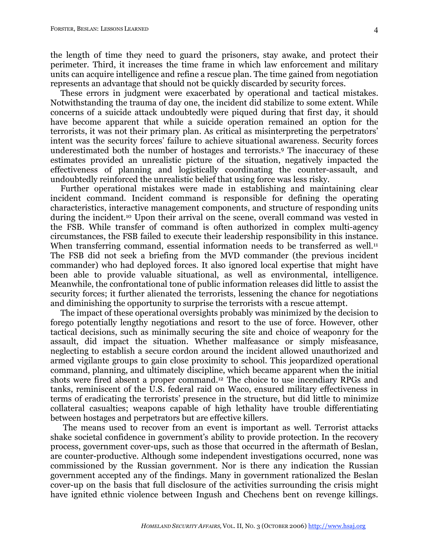the length of time they need to guard the prisoners, stay awake, and protect their perimeter. Third, it increases the time frame in which law enforcement and military units can acquire intelligence and refine a rescue plan. The time gained from negotiation represents an advantage that should not be quickly discarded by security forces.

These errors in judgment were exacerbated by operational and tactical mistakes. Notwithstanding the trauma of day one, the incident did stabilize to some extent. While concerns of a suicide attack undoubtedly were piqued during that first day, it should have become apparent that while a suicide operation remained an option for the terrorists, it was not their primary plan. As critical as misinterpreting the perpetrators' intent was the security forces' failure to achieve situational awareness. Security forces underestimated both the number of hostages and terrorists. <sup>9</sup> The inaccuracy of these estimates provided an unrealistic picture of the situation, negatively impacted the effectiveness of planning and logistically coordinating the counter-assault, and undoubtedly reinforced the unrealistic belief that using force was less risky.

Further operational mistakes were made in establishing and maintaining clear incident command. Incident command is responsible for defining the operating characteristics, interactive management components, and structure of responding units during the incident.10 Upon their arrival on the scene, overall command was vested in the FSB. While transfer of command is often authorized in complex multi-agency circumstances, the FSB failed to execute their leadership responsibility in this instance. When transferring command, essential information needs to be transferred as well.<sup>11</sup> The FSB did not seek a briefing from the MVD commander (the previous incident commander) who had deployed forces. It also ignored local expertise that might have been able to provide valuable situational, as well as environmental, intelligence. Meanwhile, the confrontational tone of public information releases did little to assist the security forces; it further alienated the terrorists, lessening the chance for negotiations and diminishing the opportunity to surprise the terrorists with a rescue attempt.

The impact of these operational oversights probably was minimized by the decision to forego potentially lengthy negotiations and resort to the use of force. However, other tactical decisions, such as minimally securing the site and choice of weaponry for the assault, did impact the situation. Whether malfeasance or simply misfeasance, neglecting to establish a secure cordon around the incident allowed unauthorized and armed vigilante groups to gain close proximity to school. This jeopardized operational command, planning, and ultimately discipline, which became apparent when the initial shots were fired absent a proper command. <sup>12</sup> The choice to use incendiary RPGs and tanks, reminiscent of the U.S. federal raid on Waco, ensured military effectiveness in terms of eradicating the terrorists' presence in the structure, but did little to minimize collateral casualties; weapons capable of high lethality have trouble differentiating between hostages and perpetrators but are effective killers.

The means used to recover from an event is important as well. Terrorist attacks shake societal confidence in government's ability to provide protection. In the recovery process, government cover-ups, such as those that occurred in the aftermath of Beslan, are counter-productive. Although some independent investigations occurred, none was commissioned by the Russian government. Nor is there any indication the Russian government accepted any of the findings. Many in government rationalized the Beslan cover-up on the basis that full disclosure of the activities surrounding the crisis might have ignited ethnic violence between Ingush and Chechens bent on revenge killings.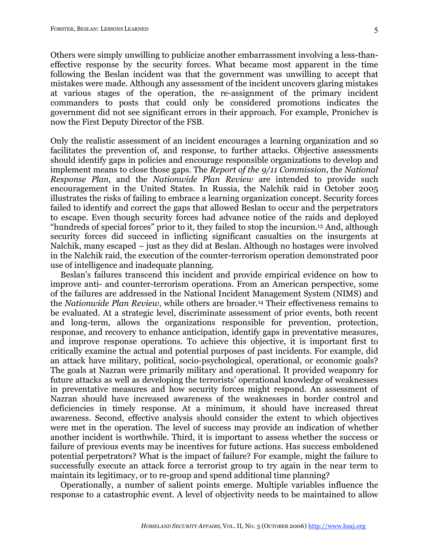Others were simply unwilling to publicize another embarrassment involving a less-thaneffective response by the security forces. What became most apparent in the time following the Beslan incident was that the government was unwilling to accept that mistakes were made. Although any assessment of the incident uncovers glaring mistakes at various stages of the operation, the re-assignment of the primary incident commanders to posts that could only be considered promotions indicates the government did not see significant errors in their approach. For example, Pronichev is now the First Deputy Director of the FSB.

Only the realistic assessment of an incident encourages a learning organization and so facilitates the prevention of, and response, to further attacks. Objective assessments should identify gaps in policies and encourage responsible organizations to develop and implement means to close those gaps. The *Report of the 9/11 Commission*, the *National Response Plan*, and the *Nationwide Plan Review* are intended to provide such encouragement in the United States. In Russia, the Nalchik raid in October 2005 illustrates the risks of failing to embrace a learning organization concept. Security forces failed to identify and correct the gaps that allowed Beslan to occur and the perpetrators to escape. Even though security forces had advance notice of the raids and deployed "hundreds of special forces" prior to it, they failed to stop the incursion. <sup>13</sup> And, although security forces did succeed in inflicting significant casualties on the insurgents at Nalchik, many escaped – just as they did at Beslan. Although no hostages were involved in the Nalchik raid, the execution of the counter-terrorism operation demonstrated poor use of intelligence and inadequate planning.

Beslan's failures transcend this incident and provide empirical evidence on how to improve anti- and counter-terrorism operations. From an American perspective, some of the failures are addressed in the National Incident Management System (NIMS) and the *Nationwide Plan Review*, while others are broader.14 Their effectiveness remains to be evaluated. At a strategic level, discriminate assessment of prior events, both recent and long-term, allows the organizations responsible for prevention, protection, response, and recovery to enhance anticipation, identify gaps in preventative measures, and improve response operations. To achieve this objective, it is important first to critically examine the actual and potential purposes of past incidents. For example, did an attack have military, political, socio-psychological, operational, or economic goals? The goals at Nazran were primarily military and operational. It provided weaponry for future attacks as well as developing the terrorists' operational knowledge of weaknesses in preventative measures and how security forces might respond. An assessment of Nazran should have increased awareness of the weaknesses in border control and deficiencies in timely response. At a minimum, it should have increased threat awareness. Second, effective analysis should consider the extent to which objectives were met in the operation. The level of success may provide an indication of whether another incident is worthwhile. Third, it is important to assess whether the success or failure of previous events may be incentives for future actions. Has success emboldened potential perpetrators? What is the impact of failure? For example, might the failure to successfully execute an attack force a terrorist group to try again in the near term to maintain its legitimacy, or to re-group and spend additional time planning?

Operationally, a number of salient points emerge. Multiple variables influence the response to a catastrophic event. A level of objectivity needs to be maintained to allow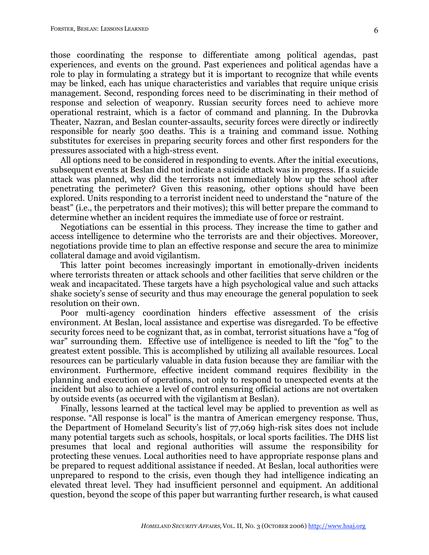those coordinating the response to differentiate among political agendas, past experiences, and events on the ground. Past experiences and political agendas have a role to play in formulating a strategy but it is important to recognize that while events may be linked, each has unique characteristics and variables that require unique crisis management. Second, responding forces need to be discriminating in their method of response and selection of weaponry. Russian security forces need to achieve more operational restraint, which is a factor of command and planning. In the Dubrovka Theater, Nazran, and Beslan counter-assaults, security forces were directly or indirectly responsible for nearly 500 deaths. This is a training and command issue. Nothing substitutes for exercises in preparing security forces and other first responders for the pressures associated with a high-stress event.

All options need to be considered in responding to events. After the initial executions, subsequent events at Beslan did not indicate a suicide attack was in progress. If a suicide attack was planned, why did the terrorists not immediately blow up the school after penetrating the perimeter? Given this reasoning, other options should have been explored. Units responding to a terrorist incident need to understand the "nature of the beast" (i.e., the perpetrators and their motives); this will better prepare the command to determine whether an incident requires the immediate use of force or restraint.

Negotiations can be essential in this process. They increase the time to gather and access intelligence to determine who the terrorists are and their objectives. Moreover, negotiations provide time to plan an effective response and secure the area to minimize collateral damage and avoid vigilantism.

This latter point becomes increasingly important in emotionally-driven incidents where terrorists threaten or attack schools and other facilities that serve children or the weak and incapacitated. These targets have a high psychological value and such attacks shake society's sense of security and thus may encourage the general population to seek resolution on their own.

Poor multi-agency coordination hinders effective assessment of the crisis environment. At Beslan, local assistance and expertise was disregarded. To be effective security forces need to be cognizant that, as in combat, terrorist situations have a "fog of war" surrounding them. Effective use of intelligence is needed to lift the "fog" to the greatest extent possible. This is accomplished by utilizing all available resources. Local resources can be particularly valuable in data fusion because they are familiar with the environment. Furthermore, effective incident command requires flexibility in the planning and execution of operations, not only to respond to unexpected events at the incident but also to achieve a level of control ensuring official actions are not overtaken by outside events (as occurred with the vigilantism at Beslan).

Finally, lessons learned at the tactical level may be applied to prevention as well as response. "All response is local" is the mantra of American emergency response. Thus, the Department of Homeland Security's list of 77,069 high-risk sites does not include many potential targets such as schools, hospitals, or local sports facilities. The DHS list presumes that local and regional authorities will assume the responsibility for protecting these venues. Local authorities need to have appropriate response plans and be prepared to request additional assistance if needed. At Beslan, local authorities were unprepared to respond to the crisis, even though they had intelligence indicating an elevated threat level. They had insufficient personnel and equipment. An additional question, beyond the scope of this paper but warranting further research, is what caused